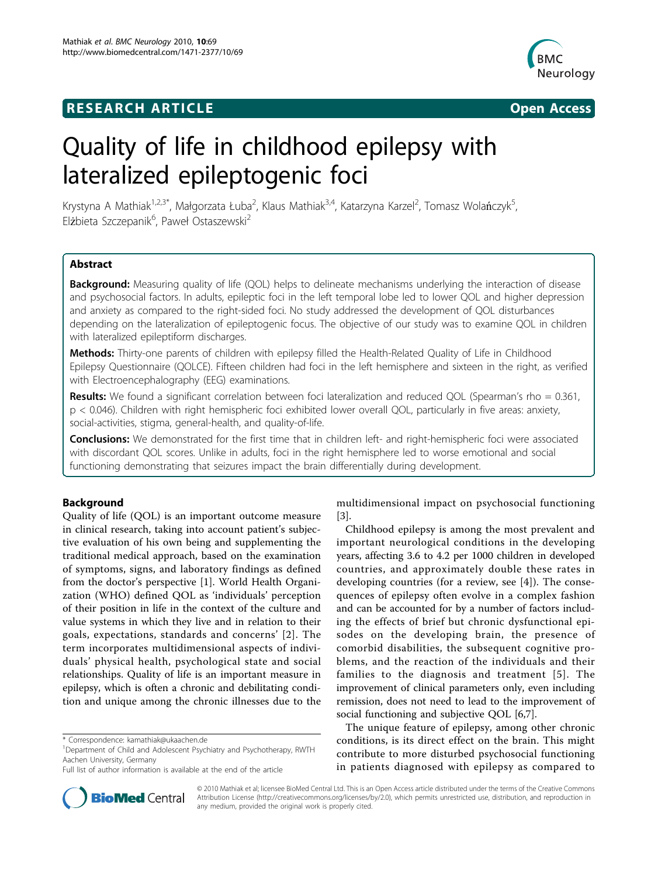## **RESEARCH ARTICLE Example 2014 CONSUMING ACCESS**



# Quality of life in childhood epilepsy with lateralized epileptogenic foci

Krystyna A Mathiak<sup>1,2,3\*</sup>, Małgorzata Łuba<sup>2</sup>, Klaus Mathiak<sup>3,4</sup>, Katarzyna Karzel<sup>2</sup>, Tomasz Wola**ń**czyk<sup>5</sup> , Elżbieta Szczepanik<sup>6</sup>, Paweł Ostaszewski<sup>2</sup>

## Abstract

**Background:** Measuring quality of life (QOL) helps to delineate mechanisms underlying the interaction of disease and psychosocial factors. In adults, epileptic foci in the left temporal lobe led to lower QOL and higher depression and anxiety as compared to the right-sided foci. No study addressed the development of QOL disturbances depending on the lateralization of epileptogenic focus. The objective of our study was to examine QOL in children with lateralized epileptiform discharges.

Methods: Thirty-one parents of children with epilepsy filled the Health-Related Quality of Life in Childhood Epilepsy Questionnaire (QOLCE). Fifteen children had foci in the left hemisphere and sixteen in the right, as verified with Electroencephalography (EEG) examinations.

**Results:** We found a significant correlation between foci lateralization and reduced QOL (Spearman's rho =  $0.361$ , p < 0.046). Children with right hemispheric foci exhibited lower overall QOL, particularly in five areas: anxiety, social-activities, stigma, general-health, and quality-of-life.

Conclusions: We demonstrated for the first time that in children left- and right-hemispheric foci were associated with discordant QOL scores. Unlike in adults, foci in the right hemisphere led to worse emotional and social functioning demonstrating that seizures impact the brain differentially during development.

## Background

Quality of life (QOL) is an important outcome measure in clinical research, taking into account patient's subjective evaluation of his own being and supplementing the traditional medical approach, based on the examination of symptoms, signs, and laboratory findings as defined from the doctor's perspective [\[1](#page-5-0)]. World Health Organization (WHO) defined QOL as 'individuals' perception of their position in life in the context of the culture and value systems in which they live and in relation to their goals, expectations, standards and concerns' [[2](#page-5-0)]. The term incorporates multidimensional aspects of individuals' physical health, psychological state and social relationships. Quality of life is an important measure in epilepsy, which is often a chronic and debilitating condition and unique among the chronic illnesses due to the



Childhood epilepsy is among the most prevalent and important neurological conditions in the developing years, affecting 3.6 to 4.2 per 1000 children in developed countries, and approximately double these rates in developing countries (for a review, see [\[4](#page-5-0)]). The consequences of epilepsy often evolve in a complex fashion and can be accounted for by a number of factors including the effects of brief but chronic dysfunctional episodes on the developing brain, the presence of comorbid disabilities, the subsequent cognitive problems, and the reaction of the individuals and their families to the diagnosis and treatment [[5](#page-5-0)]. The improvement of clinical parameters only, even including remission, does not need to lead to the improvement of social functioning and subjective QOL [\[6,7\]](#page-5-0).

The unique feature of epilepsy, among other chronic conditions, is its direct effect on the brain. This might contribute to more disturbed psychosocial functioning in patients diagnosed with epilepsy as compared to



© 2010 Mathiak et al; licensee BioMed Central Ltd. This is an Open Access article distributed under the terms of the Creative Commons Attribution License [\(http://creativecommons.org/licenses/by/2.0](http://creativecommons.org/licenses/by/2.0)), which permits unrestricted use, distribution, and reproduction in any medium, provided the original work is properly cited.

<sup>\*</sup> Correspondence: [kamathiak@ukaachen.de](mailto:kamathiak@ukaachen.de)

<sup>&</sup>lt;sup>1</sup>Department of Child and Adolescent Psychiatry and Psychotherapy, RWTH Aachen University, Germany

Full list of author information is available at the end of the article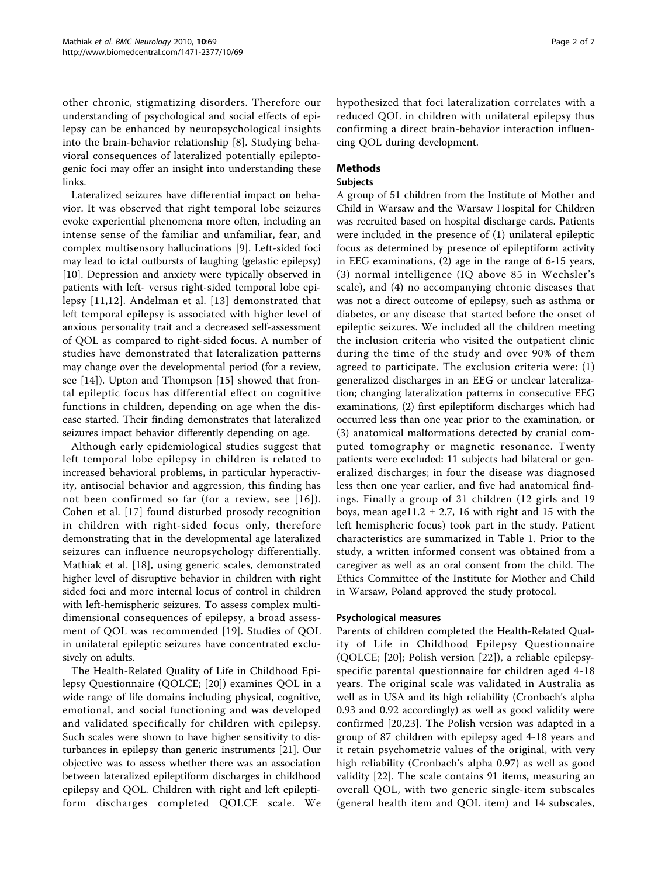other chronic, stigmatizing disorders. Therefore our understanding of psychological and social effects of epilepsy can be enhanced by neuropsychological insights into the brain-behavior relationship [[8\]](#page-5-0). Studying behavioral consequences of lateralized potentially epileptogenic foci may offer an insight into understanding these links.

Lateralized seizures have differential impact on behavior. It was observed that right temporal lobe seizures evoke experiential phenomena more often, including an intense sense of the familiar and unfamiliar, fear, and complex multisensory hallucinations [[9\]](#page-5-0). Left-sided foci may lead to ictal outbursts of laughing (gelastic epilepsy) [[10](#page-5-0)]. Depression and anxiety were typically observed in patients with left- versus right-sided temporal lobe epilepsy [[11,12](#page-5-0)]. Andelman et al. [[13](#page-5-0)] demonstrated that left temporal epilepsy is associated with higher level of anxious personality trait and a decreased self-assessment of QOL as compared to right-sided focus. A number of studies have demonstrated that lateralization patterns may change over the developmental period (for a review, see [\[14](#page-5-0)]). Upton and Thompson [[15\]](#page-5-0) showed that frontal epileptic focus has differential effect on cognitive functions in children, depending on age when the disease started. Their finding demonstrates that lateralized seizures impact behavior differently depending on age.

Although early epidemiological studies suggest that left temporal lobe epilepsy in children is related to increased behavioral problems, in particular hyperactivity, antisocial behavior and aggression, this finding has not been confirmed so far (for a review, see [[16](#page-5-0)]). Cohen et al. [[17](#page-5-0)] found disturbed prosody recognition in children with right-sided focus only, therefore demonstrating that in the developmental age lateralized seizures can influence neuropsychology differentially. Mathiak et al. [[18](#page-5-0)], using generic scales, demonstrated higher level of disruptive behavior in children with right sided foci and more internal locus of control in children with left-hemispheric seizures. To assess complex multidimensional consequences of epilepsy, a broad assessment of QOL was recommended [\[19\]](#page-5-0). Studies of QOL in unilateral epileptic seizures have concentrated exclusively on adults.

The Health-Related Quality of Life in Childhood Epilepsy Questionnaire (QOLCE; [[20](#page-6-0)]) examines QOL in a wide range of life domains including physical, cognitive, emotional, and social functioning and was developed and validated specifically for children with epilepsy. Such scales were shown to have higher sensitivity to disturbances in epilepsy than generic instruments [[21](#page-6-0)]. Our objective was to assess whether there was an association between lateralized epileptiform discharges in childhood epilepsy and QOL. Children with right and left epileptiform discharges completed QOLCE scale. We hypothesized that foci lateralization correlates with a reduced QOL in children with unilateral epilepsy thus confirming a direct brain-behavior interaction influencing QOL during development.

## Methods

## Subjects

A group of 51 children from the Institute of Mother and Child in Warsaw and the Warsaw Hospital for Children was recruited based on hospital discharge cards. Patients were included in the presence of (1) unilateral epileptic focus as determined by presence of epileptiform activity in EEG examinations, (2) age in the range of 6-15 years, (3) normal intelligence (IQ above 85 in Wechsler's scale), and (4) no accompanying chronic diseases that was not a direct outcome of epilepsy, such as asthma or diabetes, or any disease that started before the onset of epileptic seizures. We included all the children meeting the inclusion criteria who visited the outpatient clinic during the time of the study and over 90% of them agreed to participate. The exclusion criteria were: (1) generalized discharges in an EEG or unclear lateralization; changing lateralization patterns in consecutive EEG examinations, (2) first epileptiform discharges which had occurred less than one year prior to the examination, or (3) anatomical malformations detected by cranial computed tomography or magnetic resonance. Twenty patients were excluded: 11 subjects had bilateral or generalized discharges; in four the disease was diagnosed less then one year earlier, and five had anatomical findings. Finally a group of 31 children (12 girls and 19 boys, mean age11.2  $\pm$  2.7, 16 with right and 15 with the left hemispheric focus) took part in the study. Patient characteristics are summarized in Table [1](#page-2-0). Prior to the study, a written informed consent was obtained from a caregiver as well as an oral consent from the child. The Ethics Committee of the Institute for Mother and Child in Warsaw, Poland approved the study protocol.

## Psychological measures

Parents of children completed the Health-Related Quality of Life in Childhood Epilepsy Questionnaire (QOLCE; [[20\]](#page-6-0); Polish version [\[22\]](#page-6-0)), a reliable epilepsyspecific parental questionnaire for children aged 4-18 years. The original scale was validated in Australia as well as in USA and its high reliability (Cronbach's alpha 0.93 and 0.92 accordingly) as well as good validity were confirmed [\[20,23](#page-6-0)]. The Polish version was adapted in a group of 87 children with epilepsy aged 4-18 years and it retain psychometric values of the original, with very high reliability (Cronbach's alpha 0.97) as well as good validity [\[22](#page-6-0)]. The scale contains 91 items, measuring an overall QOL, with two generic single-item subscales (general health item and QOL item) and 14 subscales,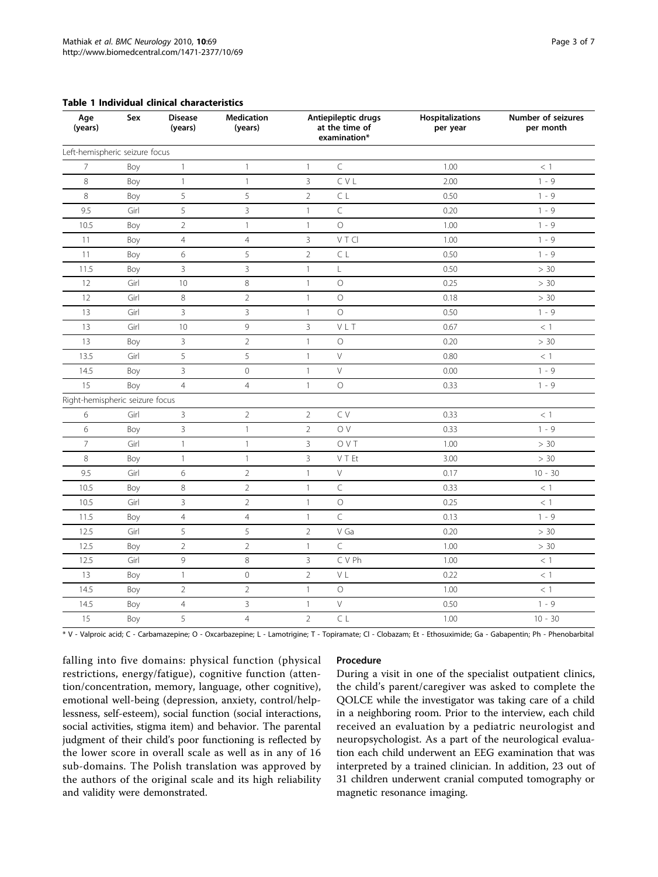<span id="page-2-0"></span>Table 1 Individual clinical characteristics

| Age<br>(years)                  | Sex  | <b>Disease</b><br>(years) | <b>Medication</b><br>(years) |                | Antiepileptic drugs<br>at the time of<br>examination* | <b>Hospitalizations</b><br>per year | Number of seizures<br>per month |  |  |  |  |
|---------------------------------|------|---------------------------|------------------------------|----------------|-------------------------------------------------------|-------------------------------------|---------------------------------|--|--|--|--|
| Left-hemispheric seizure focus  |      |                           |                              |                |                                                       |                                     |                                 |  |  |  |  |
| $\overline{7}$                  | Boy  | $\mathbf{1}$              | $\mathbf{1}$                 | $\mathbf{1}$   | $\subset$                                             | 1.00                                | $<$ 1                           |  |  |  |  |
| $\,8\,$                         | Boy  | $\mathbf{1}$              | $\mathbf{1}$                 | $\overline{3}$ | CVL                                                   | 2.00                                | $1 - 9$                         |  |  |  |  |
| 8                               | Boy  | 5                         | 5                            | $\overline{2}$ | C L                                                   | 0.50                                | $1 - 9$                         |  |  |  |  |
| 9.5                             | Girl | 5                         | $\overline{3}$               | $\mathbf{1}$   | $\subset$                                             | 0.20                                | $1 - 9$                         |  |  |  |  |
| 10.5                            | Boy  | $\overline{2}$            | $\mathbf{1}$                 | $\mathbf{1}$   | $\circ$                                               | 1.00                                | $1 - 9$                         |  |  |  |  |
| 11                              | Boy  | $\overline{4}$            | $\overline{4}$               | 3              | VTCI                                                  | 1.00                                | $1 - 9$                         |  |  |  |  |
| 11                              | Boy  | 6                         | 5                            | $\overline{2}$ | CL                                                    | 0.50                                | $1 - 9$                         |  |  |  |  |
| 11.5                            | Boy  | 3                         | 3                            | $\mathbb{1}$   | L                                                     | 0.50                                | > 30                            |  |  |  |  |
| 12                              | Girl | 10                        | 8                            | $\mathbf{1}$   | $\bigcirc$                                            | 0.25                                | > 30                            |  |  |  |  |
| 12                              | Girl | 8                         | $\overline{2}$               | $\mathbf{1}$   | $\bigcirc$                                            | 0.18                                | > 30                            |  |  |  |  |
| 13                              | Girl | 3                         | 3                            | $\mathbf{1}$   | $\circ$                                               | 0.50                                | $1 - 9$                         |  |  |  |  |
| 13                              | Girl | 10                        | 9                            | 3              | VLT                                                   | 0.67                                | $<$ 1                           |  |  |  |  |
| 13                              | Boy  | $\overline{3}$            | $\overline{2}$               | $\mathbf{1}$   | $\bigcirc$                                            | 0.20                                | > 30                            |  |  |  |  |
| 13.5                            | Girl | 5                         | 5                            | $\mathbf{1}$   | $\vee$                                                | 0.80                                | $<$ 1                           |  |  |  |  |
| 14.5                            | Boy  | 3                         | $\mathbf 0$                  | $\mathbf{1}$   | V                                                     | 0.00                                | $1 - 9$                         |  |  |  |  |
| 15                              | Boy  | $\overline{4}$            | $\overline{4}$               | $\mathbf{1}$   | $\circ$                                               | 0.33                                | $1 - 9$                         |  |  |  |  |
| Right-hemispheric seizure focus |      |                           |                              |                |                                                       |                                     |                                 |  |  |  |  |
| 6                               | Girl | $\mathsf{3}$              | $\overline{2}$               | $\overline{2}$ | C V                                                   | 0.33                                | $<$ 1                           |  |  |  |  |
| 6                               | Boy  | $\overline{3}$            | $\mathbf{1}$                 | $\overline{2}$ | O V                                                   | 0.33                                | $1 - 9$                         |  |  |  |  |
| 7                               | Girl | $\mathbf{1}$              | $\mathbf{1}$                 | 3              | O V T                                                 | 1.00                                | > 30                            |  |  |  |  |
| $\,8\,$                         | Boy  | $\mathbf{1}$              | $\mathbf{1}$                 | $\mathbf{3}$   | V T Et                                                | 3.00                                | $>30\,$                         |  |  |  |  |
| 9.5                             | Girl | 6                         | $\overline{2}$               | $\mathbf{1}$   | $\vee$                                                | 0.17                                | $10 - 30$                       |  |  |  |  |
| 10.5                            | Boy  | 8                         | $\overline{2}$               | $\mathbf{1}$   | $\subset$                                             | 0.33                                | $<$ 1                           |  |  |  |  |
| 10.5                            | Girl | 3                         | $\overline{2}$               | $\mathbb{1}$   | $\bigcirc$                                            | 0.25                                | $<$ 1                           |  |  |  |  |
| 11.5                            | Boy  | $\overline{4}$            | $\overline{4}$               | $\mathbf{1}$   | $\subset$                                             | 0.13                                | $1 - 9$                         |  |  |  |  |
| 12.5                            | Girl | 5                         | 5                            | $\overline{2}$ | V Ga                                                  | 0.20                                | > 30                            |  |  |  |  |
| 12.5                            | Boy  | $\overline{2}$            | $\overline{2}$               | $\mathbf{1}$   | $\subset$                                             | 1.00                                | > 30                            |  |  |  |  |
| 12.5                            | Girl | 9                         | 8                            | 3              | C V Ph                                                | 1.00                                | $<$ 1                           |  |  |  |  |
| 13                              | Boy  | $\mathbf{1}$              | 0                            | $\overline{2}$ | VL                                                    | 0.22                                | $<\,1$                          |  |  |  |  |
| 14.5                            | Boy  | $\overline{2}$            | $\overline{2}$               | $\mathbf{1}$   | $\bigcirc$                                            | 1.00                                | $<\,1$                          |  |  |  |  |
| 14.5                            | Boy  | $\overline{4}$            | $\overline{3}$               | $\mathbf{1}$   | $\bigvee$                                             | 0.50                                | $1 - 9$                         |  |  |  |  |
| 15                              | Boy  | 5                         | $\overline{4}$               | $\overline{2}$ | CL                                                    | 1.00                                | $10 - 30$                       |  |  |  |  |

\* V - Valproic acid; C - Carbamazepine; O - Oxcarbazepine; L - Lamotrigine; T - Topiramate; Cl - Clobazam; Et - Ethosuximide; Ga - Gabapentin; Ph - Phenobarbital

falling into five domains: physical function (physical restrictions, energy/fatigue), cognitive function (attention/concentration, memory, language, other cognitive), emotional well-being (depression, anxiety, control/helplessness, self-esteem), social function (social interactions, social activities, stigma item) and behavior. The parental judgment of their child's poor functioning is reflected by the lower score in overall scale as well as in any of 16 sub-domains. The Polish translation was approved by the authors of the original scale and its high reliability and validity were demonstrated.

## Procedure

During a visit in one of the specialist outpatient clinics, the child's parent/caregiver was asked to complete the QOLCE while the investigator was taking care of a child in a neighboring room. Prior to the interview, each child received an evaluation by a pediatric neurologist and neuropsychologist. As a part of the neurological evaluation each child underwent an EEG examination that was interpreted by a trained clinician. In addition, 23 out of 31 children underwent cranial computed tomography or magnetic resonance imaging.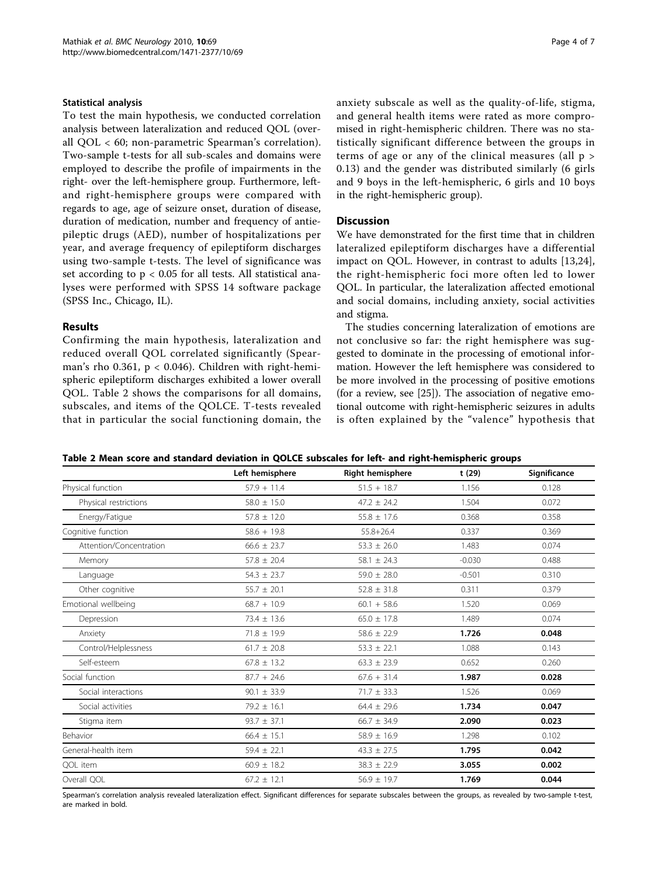#### Statistical analysis

To test the main hypothesis, we conducted correlation analysis between lateralization and reduced QOL (overall QOL < 60; non-parametric Spearman's correlation). Two-sample t-tests for all sub-scales and domains were employed to describe the profile of impairments in the right- over the left-hemisphere group. Furthermore, leftand right-hemisphere groups were compared with regards to age, age of seizure onset, duration of disease, duration of medication, number and frequency of antiepileptic drugs (AED), number of hospitalizations per year, and average frequency of epileptiform discharges using two-sample t-tests. The level of significance was set according to  $p < 0.05$  for all tests. All statistical analyses were performed with SPSS 14 software package (SPSS Inc., Chicago, IL).

## Results

Confirming the main hypothesis, lateralization and reduced overall QOL correlated significantly (Spearman's rho 0.361,  $p < 0.046$ ). Children with right-hemispheric epileptiform discharges exhibited a lower overall QOL. Table 2 shows the comparisons for all domains, subscales, and items of the QOLCE. T-tests revealed that in particular the social functioning domain, the anxiety subscale as well as the quality-of-life, stigma, and general health items were rated as more compromised in right-hemispheric children. There was no statistically significant difference between the groups in terms of age or any of the clinical measures (all p > 0.13) and the gender was distributed similarly (6 girls and 9 boys in the left-hemispheric, 6 girls and 10 boys in the right-hemispheric group).

## **Discussion**

We have demonstrated for the first time that in children lateralized epileptiform discharges have a differential impact on QOL. However, in contrast to adults [[13](#page-5-0)[,24](#page-6-0)], the right-hemispheric foci more often led to lower QOL. In particular, the lateralization affected emotional and social domains, including anxiety, social activities and stigma.

The studies concerning lateralization of emotions are not conclusive so far: the right hemisphere was suggested to dominate in the processing of emotional information. However the left hemisphere was considered to be more involved in the processing of positive emotions (for a review, see [[25\]](#page-6-0)). The association of negative emotional outcome with right-hemispheric seizures in adults is often explained by the "valence" hypothesis that

|  |  | Table 2 Mean score and standard deviation in QOLCE subscales for left- and right-hemispheric groups |
|--|--|-----------------------------------------------------------------------------------------------------|
|--|--|-----------------------------------------------------------------------------------------------------|

|                         | Left hemisphere | <b>Right hemisphere</b> | t (29)   | Significance |
|-------------------------|-----------------|-------------------------|----------|--------------|
| Physical function       | $57.9 + 11.4$   | $51.5 + 18.7$           | 1.156    | 0.128        |
| Physical restrictions   | $58.0 \pm 15.0$ | $47.2 \pm 24.2$         | 1.504    | 0.072        |
| Energy/Fatigue          | $57.8 \pm 12.0$ | $55.8 \pm 17.6$         | 0.368    | 0.358        |
| Cognitive function      | $58.6 + 19.8$   | $55.8 + 26.4$           | 0.337    | 0.369        |
| Attention/Concentration | $66.6 \pm 23.7$ | $53.3 \pm 26.0$         | 1.483    | 0.074        |
| Memory                  | $57.8 \pm 20.4$ | $58.1 \pm 24.3$         | $-0.030$ | 0.488        |
| Language                | $54.3 \pm 23.7$ | $59.0 \pm 28.0$         | $-0.501$ | 0.310        |
| Other cognitive         | $55.7 \pm 20.1$ | $52.8 \pm 31.8$         | 0.311    | 0.379        |
| Emotional wellbeing     | $68.7 + 10.9$   | $60.1 + 58.6$           | 1.520    | 0.069        |
| Depression              | $73.4 \pm 13.6$ | $65.0 \pm 17.8$         | 1.489    | 0.074        |
| Anxiety                 | $71.8 \pm 19.9$ | $58.6 \pm 22.9$         | 1.726    | 0.048        |
| Control/Helplessness    | $61.7 \pm 20.8$ | $53.3 \pm 22.1$         | 1.088    | 0.143        |
| Self-esteem             | $67.8 \pm 13.2$ | $63.3 \pm 23.9$         | 0.652    | 0.260        |
| Social function         | $87.7 + 24.6$   | $67.6 + 31.4$           | 1.987    | 0.028        |
| Social interactions     | $90.1 \pm 33.9$ | $71.7 \pm 33.3$         | 1.526    | 0.069        |
| Social activities       | $79.2 \pm 16.1$ | $64.4 \pm 29.6$         | 1.734    | 0.047        |
| Stigma item             | $93.7 \pm 37.1$ | $66.7 \pm 34.9$         | 2.090    | 0.023        |
| Behavior                | $66.4 \pm 15.1$ | $58.9 \pm 16.9$         | 1.298    | 0.102        |
| General-health item     | $59.4 \pm 22.1$ | $43.3 \pm 27.5$         | 1.795    | 0.042        |
| OOL item                | $60.9 \pm 18.2$ | $38.3 \pm 22.9$         | 3.055    | 0.002        |
| Overall QOL             | $67.2 \pm 12.1$ | $56.9 \pm 19.7$         | 1.769    | 0.044        |

Spearman's correlation analysis revealed lateralization effect. Significant differences for separate subscales between the groups, as revealed by two-sample t-test, are marked in bold.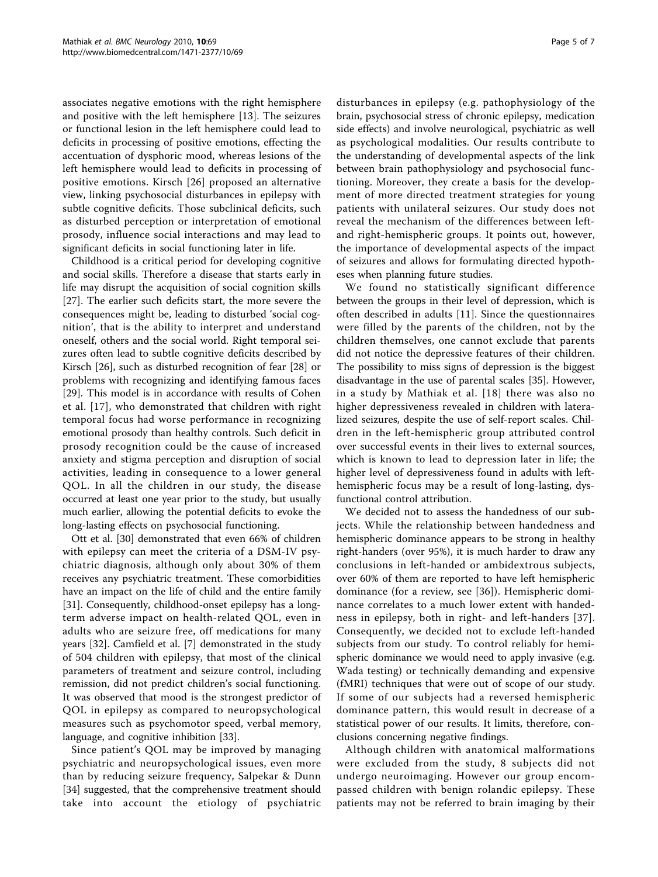associates negative emotions with the right hemisphere and positive with the left hemisphere [\[13](#page-5-0)]. The seizures or functional lesion in the left hemisphere could lead to deficits in processing of positive emotions, effecting the accentuation of dysphoric mood, whereas lesions of the left hemisphere would lead to deficits in processing of positive emotions. Kirsch [\[26\]](#page-6-0) proposed an alternative view, linking psychosocial disturbances in epilepsy with subtle cognitive deficits. Those subclinical deficits, such as disturbed perception or interpretation of emotional prosody, influence social interactions and may lead to significant deficits in social functioning later in life.

Childhood is a critical period for developing cognitive and social skills. Therefore a disease that starts early in life may disrupt the acquisition of social cognition skills [[27\]](#page-6-0). The earlier such deficits start, the more severe the consequences might be, leading to disturbed 'social cognition', that is the ability to interpret and understand oneself, others and the social world. Right temporal seizures often lead to subtle cognitive deficits described by Kirsch [\[26](#page-6-0)], such as disturbed recognition of fear [[28](#page-6-0)] or problems with recognizing and identifying famous faces [[29\]](#page-6-0). This model is in accordance with results of Cohen et al. [[17](#page-5-0)], who demonstrated that children with right temporal focus had worse performance in recognizing emotional prosody than healthy controls. Such deficit in prosody recognition could be the cause of increased anxiety and stigma perception and disruption of social activities, leading in consequence to a lower general QOL. In all the children in our study, the disease occurred at least one year prior to the study, but usually much earlier, allowing the potential deficits to evoke the long-lasting effects on psychosocial functioning.

Ott et al. [[30](#page-6-0)] demonstrated that even 66% of children with epilepsy can meet the criteria of a DSM-IV psychiatric diagnosis, although only about 30% of them receives any psychiatric treatment. These comorbidities have an impact on the life of child and the entire family [[31\]](#page-6-0). Consequently, childhood-onset epilepsy has a longterm adverse impact on health-related QOL, even in adults who are seizure free, off medications for many years [[32\]](#page-6-0). Camfield et al. [[7\]](#page-5-0) demonstrated in the study of 504 children with epilepsy, that most of the clinical parameters of treatment and seizure control, including remission, did not predict children's social functioning. It was observed that mood is the strongest predictor of QOL in epilepsy as compared to neuropsychological measures such as psychomotor speed, verbal memory, language, and cognitive inhibition [[33\]](#page-6-0).

Since patient's QOL may be improved by managing psychiatric and neuropsychological issues, even more than by reducing seizure frequency, Salpekar & Dunn [[34\]](#page-6-0) suggested, that the comprehensive treatment should take into account the etiology of psychiatric

disturbances in epilepsy (e.g. pathophysiology of the brain, psychosocial stress of chronic epilepsy, medication side effects) and involve neurological, psychiatric as well as psychological modalities. Our results contribute to the understanding of developmental aspects of the link between brain pathophysiology and psychosocial functioning. Moreover, they create a basis for the development of more directed treatment strategies for young patients with unilateral seizures. Our study does not reveal the mechanism of the differences between leftand right-hemispheric groups. It points out, however, the importance of developmental aspects of the impact of seizures and allows for formulating directed hypotheses when planning future studies.

We found no statistically significant difference between the groups in their level of depression, which is often described in adults [\[11](#page-5-0)]. Since the questionnaires were filled by the parents of the children, not by the children themselves, one cannot exclude that parents did not notice the depressive features of their children. The possibility to miss signs of depression is the biggest disadvantage in the use of parental scales [[35](#page-6-0)]. However, in a study by Mathiak et al. [[18\]](#page-5-0) there was also no higher depressiveness revealed in children with lateralized seizures, despite the use of self-report scales. Children in the left-hemispheric group attributed control over successful events in their lives to external sources, which is known to lead to depression later in life; the higher level of depressiveness found in adults with lefthemispheric focus may be a result of long-lasting, dysfunctional control attribution.

We decided not to assess the handedness of our subjects. While the relationship between handedness and hemispheric dominance appears to be strong in healthy right-handers (over 95%), it is much harder to draw any conclusions in left-handed or ambidextrous subjects, over 60% of them are reported to have left hemispheric dominance (for a review, see [[36](#page-6-0)]). Hemispheric dominance correlates to a much lower extent with handedness in epilepsy, both in right- and left-handers [[37](#page-6-0)]. Consequently, we decided not to exclude left-handed subjects from our study. To control reliably for hemispheric dominance we would need to apply invasive (e.g. Wada testing) or technically demanding and expensive (fMRI) techniques that were out of scope of our study. If some of our subjects had a reversed hemispheric dominance pattern, this would result in decrease of a statistical power of our results. It limits, therefore, conclusions concerning negative findings.

Although children with anatomical malformations were excluded from the study, 8 subjects did not undergo neuroimaging. However our group encompassed children with benign rolandic epilepsy. These patients may not be referred to brain imaging by their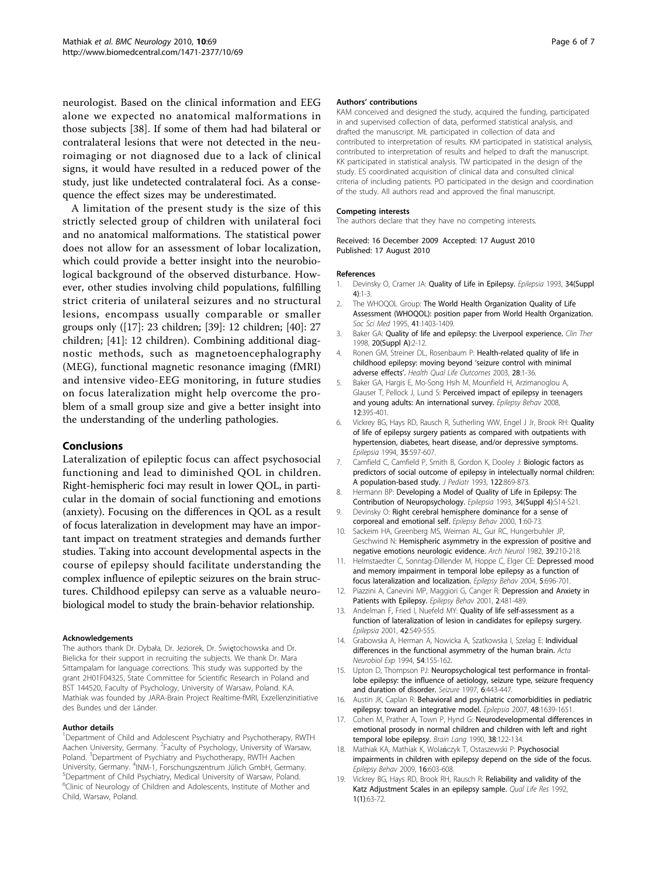<span id="page-5-0"></span>neurologist. Based on the clinical information and EEG alone we expected no anatomical malformations in those subjects [[38\]](#page-6-0). If some of them had had bilateral or contralateral lesions that were not detected in the neuroimaging or not diagnosed due to a lack of clinical signs, it would have resulted in a reduced power of the study, just like undetected contralateral foci. As a consequence the effect sizes may be underestimated.

A limitation of the present study is the size of this strictly selected group of children with unilateral foci and no anatomical malformations. The statistical power does not allow for an assessment of lobar localization, which could provide a better insight into the neurobiological background of the observed disturbance. However, other studies involving child populations, fulfilling strict criteria of unilateral seizures and no structural lesions, encompass usually comparable or smaller groups only ([17]: 23 children; [[39](#page-6-0)]: 12 children; [\[40](#page-6-0)]: 27 children; [[41\]](#page-6-0): 12 children). Combining additional diagnostic methods, such as magnetoencephalography (MEG), functional magnetic resonance imaging (fMRI) and intensive video-EEG monitoring, in future studies on focus lateralization might help overcome the problem of a small group size and give a better insight into the understanding of the underling pathologies.

## Conclusions

Lateralization of epileptic focus can affect psychosocial functioning and lead to diminished QOL in children. Right-hemispheric foci may result in lower QOL, in particular in the domain of social functioning and emotions (anxiety). Focusing on the differences in QOL as a result of focus lateralization in development may have an important impact on treatment strategies and demands further studies. Taking into account developmental aspects in the course of epilepsy should facilitate understanding the complex influence of epileptic seizures on the brain structures. Childhood epilepsy can serve as a valuable neurobiological model to study the brain-behavior relationship.

#### Acknowledgements

The authors thank Dr. Dybała, Dr. Jeziorek, Dr. Świętochowska and Dr. Bielicka for their support in recruiting the subjects. We thank Dr. Mara Sittampalam for language corrections. This study was supported by the grant 2H01F04325, State Committee for Scientific Research in Poland and BST 144520, Faculty of Psychology, University of Warsaw, Poland. K.A. Mathiak was founded by JARA-Brain Project Realtime-fMRI, Exzellenzinitiative des Bundes und der Länder.

#### Author details

<sup>1</sup>Department of Child and Adolescent Psychiatry and Psychotherapy, RWTH Aachen University, Germany. <sup>2</sup> Faculty of Psychology, University of Warsaw, Poland. <sup>3</sup>Department of Psychiatry and Psychotherapy, RWTH Aachen University, Germany. <sup>4</sup>INM-1, Forschungszentrum Jülich GmbH, Germany.<br><sup>5</sup>Dopartment of Child Bevehistry, Medical University of Warsaw, Peland <sup>5</sup>Department of Child Psychiatry, Medical University of Warsaw, Poland. <sup>6</sup>Clinic of Neurology of Children and Adolescents, Institute of Mother and Child, Warsaw, Poland.

#### Authors' contributions

KAM conceived and designed the study, acquired the funding, participated in and supervised collection of data, performed statistical analysis, and drafted the manuscript. MŁ participated in collection of data and contributed to interpretation of results. KM participated in statistical analysis, contributed to interpretation of results and helped to draft the manuscript. KK participated in statistical analysis. TW participated in the design of the study. ES coordinated acquisition of clinical data and consulted clinical criteria of including patients. PO participated in the design and coordination of the study. All authors read and approved the final manuscript.

#### Competing interests

The authors declare that they have no competing interests.

Received: 16 December 2009 Accepted: 17 August 2010 Published: 17 August 2010

#### References

- 1. Devinsky O, Cramer JA: Quality of Life in Epilepsy. Epilepsia 1993, 34(Suppl 4):1-3.
- 2. The WHOQOL Group: [The World Health Organization Quality of Life](http://www.ncbi.nlm.nih.gov/pubmed/8560308?dopt=Abstract) [Assessment \(WHOQOL\): position paper from World Health Organization.](http://www.ncbi.nlm.nih.gov/pubmed/8560308?dopt=Abstract) Soc Sci Med 1995, 41:1403-1409.
- Baker GA: [Quality of life and epilepsy: the Liverpool experience.](http://www.ncbi.nlm.nih.gov/pubmed/9522101?dopt=Abstract) Clin Ther 1998, 20(Suppl A):2-12.
- Ronen GM, Streiner DL, Rosenbaum P: Health-related quality of life in childhood epilepsy: moving beyond 'seizure control with minimal adverse effects'. Health Qual Life Outcomes 2003, 28:1-36.
- 5. Baker GA, Hargis E, Mo-Song Hsih M, Mounfield H, Arzimanoglou A, Glauser T, Pellock J, Lund S: [Perceived impact of epilepsy in teenagers](http://www.ncbi.nlm.nih.gov/pubmed/18164251?dopt=Abstract) [and young adults: An international survey.](http://www.ncbi.nlm.nih.gov/pubmed/18164251?dopt=Abstract) Epilepsy Behav 2008, 12:395-401.
- 6. Vickrey BG, Hays RD, Rausch R, Sutherling WW, Engel J Jr, Brook RH: [Quality](http://www.ncbi.nlm.nih.gov/pubmed/8026406?dopt=Abstract) [of life of epilepsy surgery patients as compared with outpatients with](http://www.ncbi.nlm.nih.gov/pubmed/8026406?dopt=Abstract) [hypertension, diabetes, heart disease, and/or depressive symptoms.](http://www.ncbi.nlm.nih.gov/pubmed/8026406?dopt=Abstract) Epilepsia 1994, 35:597-607.
- 7. Camfield C, Camfield P, Smith B, Gordon K, Dooley J: [Biologic factors as](http://www.ncbi.nlm.nih.gov/pubmed/8501561?dopt=Abstract) [predictors of social outcome of epilepsy in intelectually normal children:](http://www.ncbi.nlm.nih.gov/pubmed/8501561?dopt=Abstract) [A population-based study.](http://www.ncbi.nlm.nih.gov/pubmed/8501561?dopt=Abstract) J Pediatr 1993, 122:869-873.
- 8. Hermann BP: [Developing a Model of Quality of Life in Epilepsy: The](http://www.ncbi.nlm.nih.gov/pubmed/8348899?dopt=Abstract) [Contribution of Neuropsychology.](http://www.ncbi.nlm.nih.gov/pubmed/8348899?dopt=Abstract) Epilepsia 1993, 34(Suppl 4):S14-S21.
- 9. Devinsky O: Right cerebral hemisphere dominance for a sense of corporeal and emotional self. Epilepsy Behav 2000, 1:60-73.
- 10. Sackeim HA, Greenberg MS, Weiman AL, Gur RC, Hungerbuhler JP, Geschwind N: [Hemispheric asymmetry in the expression of positive and](http://www.ncbi.nlm.nih.gov/pubmed/7041863?dopt=Abstract) [negative emotions neurologic evidence.](http://www.ncbi.nlm.nih.gov/pubmed/7041863?dopt=Abstract) Arch Neurol 1982, 39:210-218.
- 11. Helmstaedter C, Sonntag-Dillender M, Hoppe C, Elger CE: [Depressed mood](http://www.ncbi.nlm.nih.gov/pubmed/15380121?dopt=Abstract) [and memory impairment in temporal lobe epilepsy as a function of](http://www.ncbi.nlm.nih.gov/pubmed/15380121?dopt=Abstract) [focus lateralization and localization.](http://www.ncbi.nlm.nih.gov/pubmed/15380121?dopt=Abstract) Epilepsy Behav 2004, 5:696-701.
- 12. Piazzini A, Canevini MP, Maggiori G, Canger R: [Depression and Anxiety in](http://www.ncbi.nlm.nih.gov/pubmed/12609287?dopt=Abstract) [Patients with Epilepsy.](http://www.ncbi.nlm.nih.gov/pubmed/12609287?dopt=Abstract) Epilepsy Behav 2001, 2:481-489.
- 13. Andelman F, Fried I, Nuefeld MY: [Quality of life self-assessment as a](http://www.ncbi.nlm.nih.gov/pubmed/11440352?dopt=Abstract) [function of lateralization of lesion in candidates for epilepsy surgery.](http://www.ncbi.nlm.nih.gov/pubmed/11440352?dopt=Abstract) Epilepsia 2001, 42:549-555.
- 14. Grabowska A, Herman A, Nowicka A, Szatkowska I, Szelag E: Individual differences in the functional asymmetry of the human brain. Acta Neurobiol Exp 1994, 54:155-162.
- 15. Upton D, Thompson PJ: [Neuropsychological test performance in frontal](http://www.ncbi.nlm.nih.gov/pubmed/9530939?dopt=Abstract)[lobe epilepsy: the influence of aetiology, seizure type, seizure frequency](http://www.ncbi.nlm.nih.gov/pubmed/9530939?dopt=Abstract) [and duration of disorder.](http://www.ncbi.nlm.nih.gov/pubmed/9530939?dopt=Abstract) Seizure 1997, 6:443-447.
- 16. Austin JK, Caplan R: [Behavioral and psychiatric comorbidities in pediatric](http://www.ncbi.nlm.nih.gov/pubmed/17565593?dopt=Abstract) [epilepsy: toward an integrative model.](http://www.ncbi.nlm.nih.gov/pubmed/17565593?dopt=Abstract) Epilepsia 2007, 48:1639-1651.
- 17. Cohen M, Prather A, Town P, Hynd G: [Neurodevelopmental differences in](http://www.ncbi.nlm.nih.gov/pubmed/2302542?dopt=Abstract) [emotional prosody in normal children and children with left and right](http://www.ncbi.nlm.nih.gov/pubmed/2302542?dopt=Abstract) [temporal lobe epilepsy.](http://www.ncbi.nlm.nih.gov/pubmed/2302542?dopt=Abstract) Brain Lang 1990, 38:122-134.
- 18. Mathiak KA, Mathiak K, Wolańczyk T, Ostaszewski P: [Psychosocial](http://www.ncbi.nlm.nih.gov/pubmed/19879811?dopt=Abstract) [impairments in children with epilepsy depend on the side of the focus.](http://www.ncbi.nlm.nih.gov/pubmed/19879811?dopt=Abstract) Epilepsy Behav 2009, 16:603-608.
- 19. Vickrey BG, Hays RD, Brook RH, Rausch R: [Reliability and validity of the](http://www.ncbi.nlm.nih.gov/pubmed/1301116?dopt=Abstract) [Katz Adjustment Scales in an epilepsy sample.](http://www.ncbi.nlm.nih.gov/pubmed/1301116?dopt=Abstract) Qual Life Res 1992, 1(1):63-72.